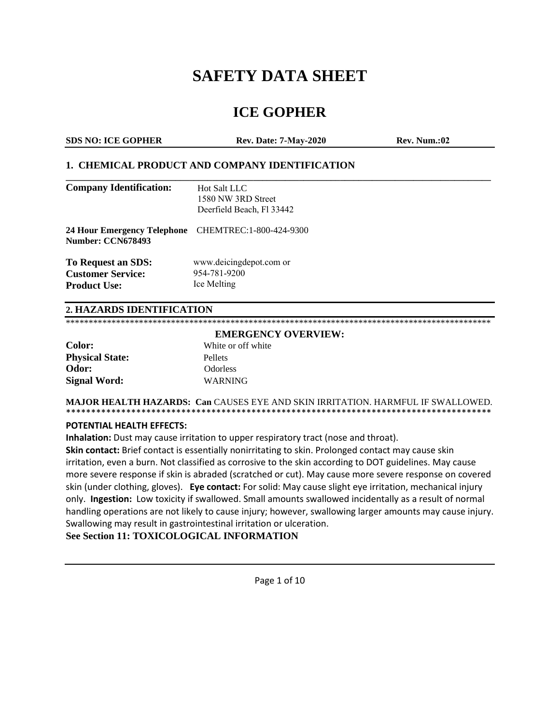# **SAFETY DATA SHEET**

## **ICE GOPHER**

| <b>SDS NO: ICE GOPHER</b> | <b>Rev. Date: 7-May-2020</b> | <b>Rev. Num.:02</b> |
|---------------------------|------------------------------|---------------------|
|                           |                              |                     |

#### **1. CHEMICAL PRODUCT AND COMPANY IDENTIFICATION**

| <b>Company Identification:</b>                                                  | Hot Salt LLC<br>1580 NW 3RD Street<br>Deerfield Beach, Fl 33442 |
|---------------------------------------------------------------------------------|-----------------------------------------------------------------|
| 24 Hour Emergency Telephone CHEMTREC:1-800-424-9300<br><b>Number: CCN678493</b> |                                                                 |
| To Request an SDS:<br><b>Customer Service:</b><br><b>Product Use:</b>           | www.deicingdepot.com or<br>954-781-9200<br>Ice Melting          |

#### **2. HAZARDS IDENTIFICATION**

|                        | <b>EMERGENCY OVERVIEW:</b> |
|------------------------|----------------------------|
| Color:                 | White or off white         |
| <b>Physical State:</b> | <b>Pellets</b>             |
| Odor:                  | Odorless                   |
| <b>Signal Word:</b>    | <b>WARNING</b>             |

#### **MAJOR HEALTH HAZARDS: Can** CAUSES EYE AND SKIN IRRITATION. HARMFUL IF SWALLOWED. \*\*\*\*\*\*\*\*\*\*\*\*\*\*\*\*\*\*\*\*\*\*\*\*\*\*\*\*\*\*\*\*\*\*\*\*\*\*\*\*\*\*\*\*\*\*\*\*\*\*\*\*\*\*\*\*\*\*\*\*\*\*\*\*\*\*\*\*\*\*\*\*\*\*\*\*\*\*\*\*\*\*\*\*\*

#### **POTENTIAL HEALTH EFFECTS:**

**Inhalation:** Dust may cause irritation to upper respiratory tract (nose and throat).

**Skin contact:** Brief contact is essentially nonirritating to skin. Prolonged contact may cause skin irritation, even a burn. Not classified as corrosive to the skin according to DOT guidelines. May cause more severe response if skin is abraded (scratched or cut). May cause more severe response on covered skin (under clothing, gloves). **Eye contact:** For solid: May cause slight eye irritation, mechanical injury only. **Ingestion:** Low toxicity if swallowed. Small amounts swallowed incidentally as a result of normal handling operations are not likely to cause injury; however, swallowing larger amounts may cause injury. Swallowing may result in gastrointestinal irritation or ulceration.

**See Section 11: TOXICOLOGICAL INFORMATION**

Page 1 of 10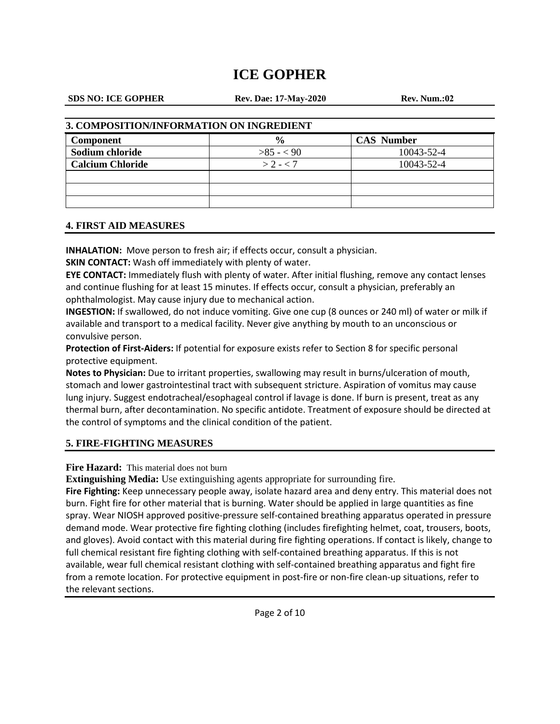#### **SDS NO: ICE GOPHER**

**Rev. Dae: 17-May-2020 Rev. Num.:02**

#### **3. COMPOSITION/INFORMATION ON INGREDIENT**

| <b>Component</b>        | $\frac{0}{0}$ | <b>CAS Number</b> |
|-------------------------|---------------|-------------------|
| Sodium chloride         | $>85 - 90$    | 10043-52-4        |
| <b>Calcium Chloride</b> | $> 2 - < 7$   | 10043-52-4        |
|                         |               |                   |
|                         |               |                   |
|                         |               |                   |

#### **4. FIRST AID MEASURES**

**INHALATION:** Move person to fresh air; if effects occur, consult a physician.

**SKIN CONTACT:** Wash off immediately with plenty of water.

**EYE CONTACT:** Immediately flush with plenty of water. After initial flushing, remove any contact lenses and continue flushing for at least 15 minutes. If effects occur, consult a physician, preferably an ophthalmologist. May cause injury due to mechanical action.

**INGESTION:** If swallowed, do not induce vomiting. Give one cup (8 ounces or 240 ml) of water or milk if available and transport to a medical facility. Never give anything by mouth to an unconscious or convulsive person.

**Protection of First-Aiders:** If potential for exposure exists refer to Section 8 for specific personal protective equipment.

**Notes to Physician:** Due to irritant properties, swallowing may result in burns/ulceration of mouth, stomach and lower gastrointestinal tract with subsequent stricture. Aspiration of vomitus may cause lung injury. Suggest endotracheal/esophageal control if lavage is done. If burn is present, treat as any thermal burn, after decontamination. No specific antidote. Treatment of exposure should be directed at the control of symptoms and the clinical condition of the patient.

### **5. FIRE-FIGHTING MEASURES**

Fire Hazard: This material does not burn

**Extinguishing Media:** Use extinguishing agents appropriate for surrounding fire.

**Fire Fighting:** Keep unnecessary people away, isolate hazard area and deny entry. This material does not burn. Fight fire for other material that is burning. Water should be applied in large quantities as fine spray. Wear NIOSH approved positive-pressure self-contained breathing apparatus operated in pressure demand mode. Wear protective fire fighting clothing (includes firefighting helmet, coat, trousers, boots, and gloves). Avoid contact with this material during fire fighting operations. If contact is likely, change to full chemical resistant fire fighting clothing with self-contained breathing apparatus. If this is not available, wear full chemical resistant clothing with self-contained breathing apparatus and fight fire from a remote location. For protective equipment in post-fire or non-fire clean-up situations, refer to the relevant sections.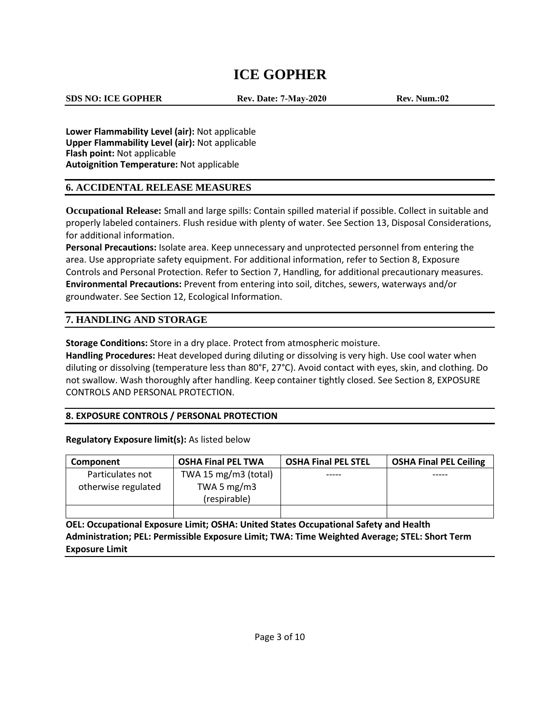**SDS NO: ICE GOPHER**

**Rev. Date: 7-May-2020 Rev. Num.:02**

**Lower Flammability Level (air):** Not applicable **Upper Flammability Level (air):** Not applicable **Flash point:** Not applicable **Autoignition Temperature:** Not applicable

### **6. ACCIDENTAL RELEASE MEASURES**

**Occupational Release:** Small and large spills: Contain spilled material if possible. Collect in suitable and properly labeled containers. Flush residue with plenty of water. See Section 13, Disposal Considerations, for additional information.

**Personal Precautions:** Isolate area. Keep unnecessary and unprotected personnel from entering the area. Use appropriate safety equipment. For additional information, refer to Section 8, Exposure Controls and Personal Protection. Refer to Section 7, Handling, for additional precautionary measures. **Environmental Precautions:** Prevent from entering into soil, ditches, sewers, waterways and/or groundwater. See Section 12, Ecological Information.

### **7. HANDLING AND STORAGE**

**Storage Conditions:** Store in a dry place. Protect from atmospheric moisture.

**Handling Procedures:** Heat developed during diluting or dissolving is very high. Use cool water when diluting or dissolving (temperature less than 80°F, 27°C). Avoid contact with eyes, skin, and clothing. Do not swallow. Wash thoroughly after handling. Keep container tightly closed. See Section 8, EXPOSURE CONTROLS AND PERSONAL PROTECTION.

### **8. EXPOSURE CONTROLS / PERSONAL PROTECTION**

#### **Regulatory Exposure limit(s):** As listed below

| Component           | <b>OSHA Final PEL TWA</b> | <b>OSHA Final PEL STEL</b> | <b>OSHA Final PEL Ceiling</b> |
|---------------------|---------------------------|----------------------------|-------------------------------|
| Particulates not    | TWA 15 mg/m3 (total)      |                            |                               |
| otherwise regulated | TWA 5 $mg/m3$             |                            |                               |
|                     | (respirable)              |                            |                               |
|                     |                           |                            |                               |

**OEL: Occupational Exposure Limit; OSHA: United States Occupational Safety and Health Administration; PEL: Permissible Exposure Limit; TWA: Time Weighted Average; STEL: Short Term Exposure Limit**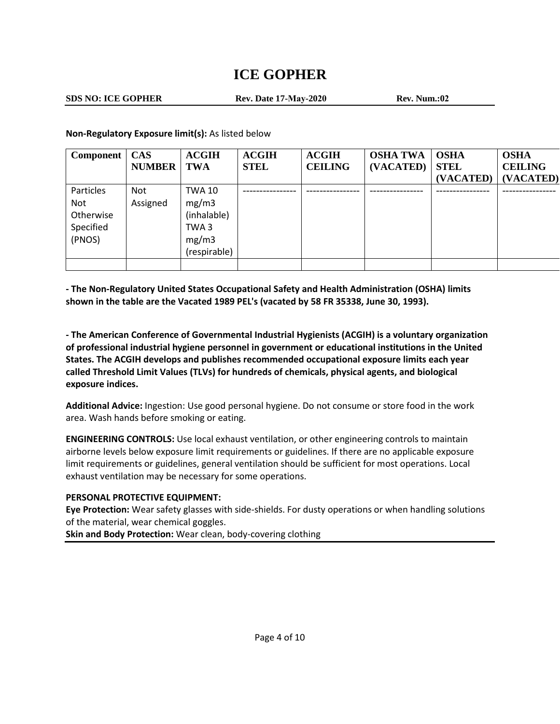**SDS NO: ICE GOPHER**

**Rev. Date 17-May-2020 Rev. Num.:02**

**Non-Regulatory Exposure limit(s):** As listed below

| Component | <b>CAS</b>    | <b>ACGIH</b> | <b>ACGIH</b> | <b>ACGIH</b>   | <b>OSHA TWA</b> | <b>OSHA</b> | <b>OSHA</b>    |
|-----------|---------------|--------------|--------------|----------------|-----------------|-------------|----------------|
|           | <b>NUMBER</b> | <b>TWA</b>   | <b>STEL</b>  | <b>CEILING</b> | (VACATED)       | <b>STEL</b> | <b>CEILING</b> |
|           |               |              |              |                |                 | (VACATED)   | (VACATED)      |
| Particles | Not           | TWA 10       |              |                |                 |             |                |
| Not       | Assigned      | mg/m3        |              |                |                 |             |                |
| Otherwise |               | (inhalable)  |              |                |                 |             |                |
| Specified |               | TWA3         |              |                |                 |             |                |
| (PNOS)    |               | mg/m3        |              |                |                 |             |                |
|           |               | (respirable) |              |                |                 |             |                |
|           |               |              |              |                |                 |             |                |

**- The Non-Regulatory United States Occupational Safety and Health Administration (OSHA) limits shown in the table are the Vacated 1989 PEL's (vacated by 58 FR 35338, June 30, 1993).**

**- The American Conference of Governmental Industrial Hygienists (ACGIH) is a voluntary organization of professional industrial hygiene personnel in government or educational institutions in the United States. The ACGIH develops and publishes recommended occupational exposure limits each year called Threshold Limit Values (TLVs) for hundreds of chemicals, physical agents, and biological exposure indices.**

**Additional Advice:** Ingestion: Use good personal hygiene. Do not consume or store food in the work area. Wash hands before smoking or eating.

**ENGINEERING CONTROLS:** Use local exhaust ventilation, or other engineering controls to maintain airborne levels below exposure limit requirements or guidelines. If there are no applicable exposure limit requirements or guidelines, general ventilation should be sufficient for most operations. Local exhaust ventilation may be necessary for some operations.

### **PERSONAL PROTECTIVE EQUIPMENT:**

**Eye Protection:** Wear safety glasses with side-shields. For dusty operations or when handling solutions of the material, wear chemical goggles.

**Skin and Body Protection:** Wear clean, body-covering clothing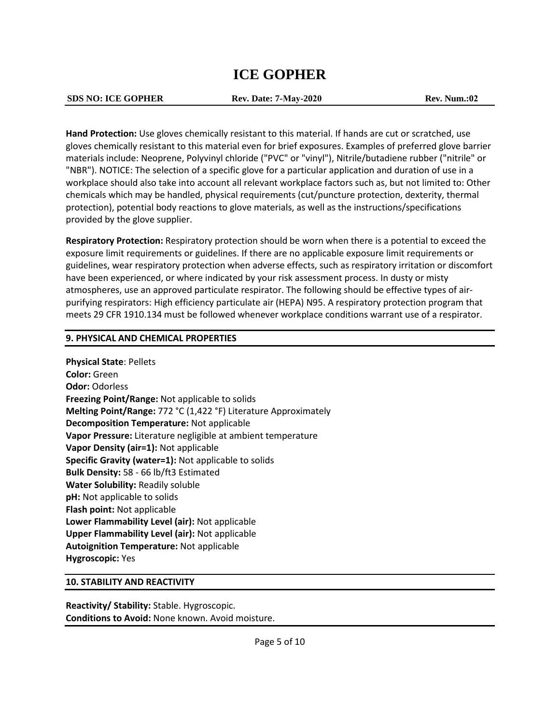#### **SDS NO: ICE GOPHER Rev. Date: 7-May-2020 Rev. Num.:02**

**Hand Protection:** Use gloves chemically resistant to this material. If hands are cut or scratched, use gloves chemically resistant to this material even for brief exposures. Examples of preferred glove barrier materials include: Neoprene, Polyvinyl chloride ("PVC" or "vinyl"), Nitrile/butadiene rubber ("nitrile" or "NBR"). NOTICE: The selection of a specific glove for a particular application and duration of use in a workplace should also take into account all relevant workplace factors such as, but not limited to: Other chemicals which may be handled, physical requirements (cut/puncture protection, dexterity, thermal protection), potential body reactions to glove materials, as well as the instructions/specifications provided by the glove supplier.

**Respiratory Protection:** Respiratory protection should be worn when there is a potential to exceed the exposure limit requirements or guidelines. If there are no applicable exposure limit requirements or guidelines, wear respiratory protection when adverse effects, such as respiratory irritation or discomfort have been experienced, or where indicated by your risk assessment process. In dusty or misty atmospheres, use an approved particulate respirator. The following should be effective types of airpurifying respirators: High efficiency particulate air (HEPA) N95. A respiratory protection program that meets 29 CFR 1910.134 must be followed whenever workplace conditions warrant use of a respirator.

#### **9. PHYSICAL AND CHEMICAL PROPERTIES**

**Physical State**: Pellets **Color:** Green **Odor:** Odorless **Freezing Point/Range:** Not applicable to solids **Melting Point/Range:** 772 °C (1,422 °F) Literature Approximately **Decomposition Temperature:** Not applicable **Vapor Pressure:** Literature negligible at ambient temperature **Vapor Density (air=1):** Not applicable **Specific Gravity (water=1):** Not applicable to solids **Bulk Density:** 58 - 66 lb/ft3 Estimated **Water Solubility:** Readily soluble **pH:** Not applicable to solids **Flash point:** Not applicable **Lower Flammability Level (air):** Not applicable **Upper Flammability Level (air):** Not applicable **Autoignition Temperature:** Not applicable **Hygroscopic:** Yes

#### **10. STABILITY AND REACTIVITY**

**Reactivity/ Stability:** Stable. Hygroscopic. **Conditions to Avoid:** None known. Avoid moisture.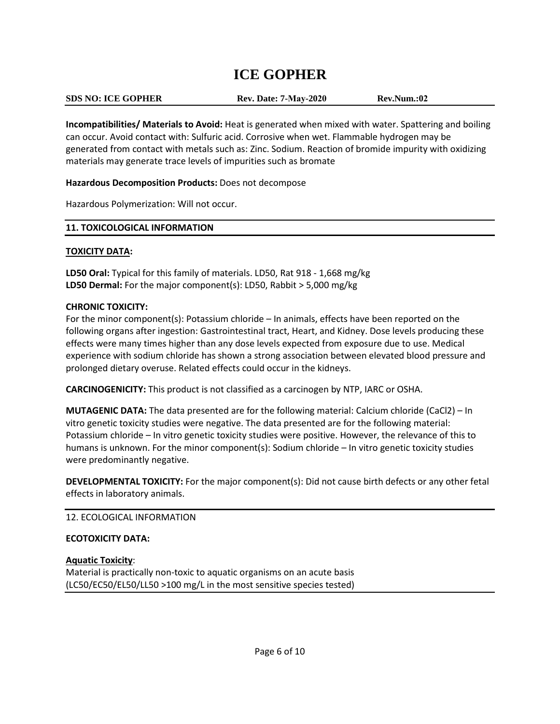| <b>SDS NO: ICE GOPHER</b> | <b>Rev. Date: 7-May-2020</b> | Rev.Num.:02 |  |
|---------------------------|------------------------------|-------------|--|

**Incompatibilities/ Materials to Avoid:** Heat is generated when mixed with water. Spattering and boiling can occur. Avoid contact with: Sulfuric acid. Corrosive when wet. Flammable hydrogen may be generated from contact with metals such as: Zinc. Sodium. Reaction of bromide impurity with oxidizing materials may generate trace levels of impurities such as bromate

#### **Hazardous Decomposition Products:** Does not decompose

Hazardous Polymerization: Will not occur.

#### **11. TOXICOLOGICAL INFORMATION**

#### **TOXICITY DATA:**

**LD50 Oral:** Typical for this family of materials. LD50, Rat 918 - 1,668 mg/kg **LD50 Dermal:** For the major component(s): LD50, Rabbit > 5,000 mg/kg

#### **CHRONIC TOXICITY:**

For the minor component(s): Potassium chloride – In animals, effects have been reported on the following organs after ingestion: Gastrointestinal tract, Heart, and Kidney. Dose levels producing these effects were many times higher than any dose levels expected from exposure due to use. Medical experience with sodium chloride has shown a strong association between elevated blood pressure and prolonged dietary overuse. Related effects could occur in the kidneys.

**CARCINOGENICITY:** This product is not classified as a carcinogen by NTP, IARC or OSHA.

**MUTAGENIC DATA:** The data presented are for the following material: Calcium chloride (CaCl2) – In vitro genetic toxicity studies were negative. The data presented are for the following material: Potassium chloride – In vitro genetic toxicity studies were positive. However, the relevance of this to humans is unknown. For the minor component(s): Sodium chloride – In vitro genetic toxicity studies were predominantly negative.

**DEVELOPMENTAL TOXICITY:** For the major component(s): Did not cause birth defects or any other fetal effects in laboratory animals.

### 12. ECOLOGICAL INFORMATION

### **ECOTOXICITY DATA:**

### **Aquatic Toxicity**:

Material is practically non-toxic to aquatic organisms on an acute basis (LC50/EC50/EL50/LL50 >100 mg/L in the most sensitive species tested)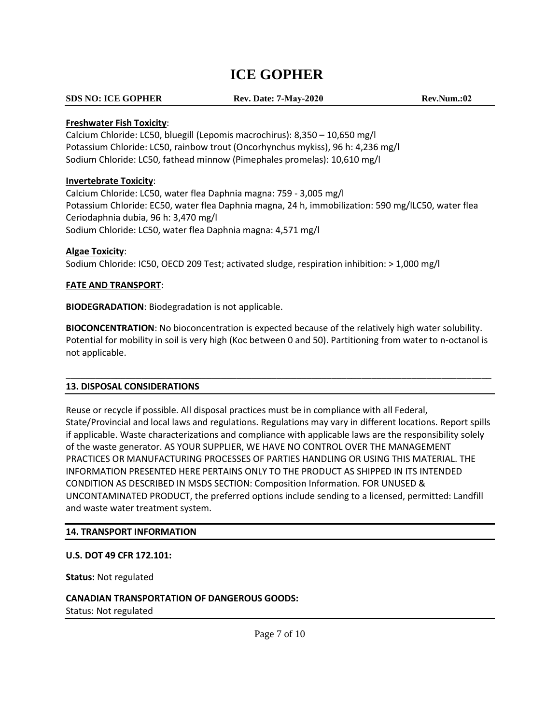#### **SDS NO: ICE GOPHER**

**Rev. Date: 7-May-2020 Rev.Num.:02**

#### **Freshwater Fish Toxicity**:

Calcium Chloride: LC50, bluegill (Lepomis macrochirus): 8,350 – 10,650 mg/l Potassium Chloride: LC50, rainbow trout (Oncorhynchus mykiss), 96 h: 4,236 mg/l Sodium Chloride: LC50, fathead minnow (Pimephales promelas): 10,610 mg/l

#### **Invertebrate Toxicity**:

Calcium Chloride: LC50, water flea Daphnia magna: 759 - 3,005 mg/l Potassium Chloride: EC50, water flea Daphnia magna, 24 h, immobilization: 590 mg/lLC50, water flea Ceriodaphnia dubia, 96 h: 3,470 mg/l Sodium Chloride: LC50, water flea Daphnia magna: 4,571 mg/l

#### **Algae Toxicity**:

Sodium Chloride: IC50, OECD 209 Test; activated sludge, respiration inhibition: > 1,000 mg/l

#### **FATE AND TRANSPORT**:

**BIODEGRADATION**: Biodegradation is not applicable.

**BIOCONCENTRATION**: No bioconcentration is expected because of the relatively high water solubility. Potential for mobility in soil is very high (Koc between 0 and 50). Partitioning from water to n-octanol is not applicable.

\_\_\_\_\_\_\_\_\_\_\_\_\_\_\_\_\_\_\_\_\_\_\_\_\_\_\_\_\_\_\_\_\_\_\_\_\_\_\_\_\_\_\_\_\_\_\_\_\_\_\_\_\_\_\_\_\_\_\_\_\_\_\_\_\_\_\_\_\_\_\_\_\_\_\_\_\_\_\_\_\_\_\_\_\_

#### **13. DISPOSAL CONSIDERATIONS**

Reuse or recycle if possible. All disposal practices must be in compliance with all Federal, State/Provincial and local laws and regulations. Regulations may vary in different locations. Report spills if applicable. Waste characterizations and compliance with applicable laws are the responsibility solely of the waste generator. AS YOUR SUPPLIER, WE HAVE NO CONTROL OVER THE MANAGEMENT PRACTICES OR MANUFACTURING PROCESSES OF PARTIES HANDLING OR USING THIS MATERIAL. THE INFORMATION PRESENTED HERE PERTAINS ONLY TO THE PRODUCT AS SHIPPED IN ITS INTENDED CONDITION AS DESCRIBED IN MSDS SECTION: Composition Information. FOR UNUSED & UNCONTAMINATED PRODUCT, the preferred options include sending to a licensed, permitted: Landfill and waste water treatment system.

#### **14. TRANSPORT INFORMATION**

#### **U.S. DOT 49 CFR 172.101:**

**Status:** Not regulated

**CANADIAN TRANSPORTATION OF DANGEROUS GOODS:**  Status: Not regulated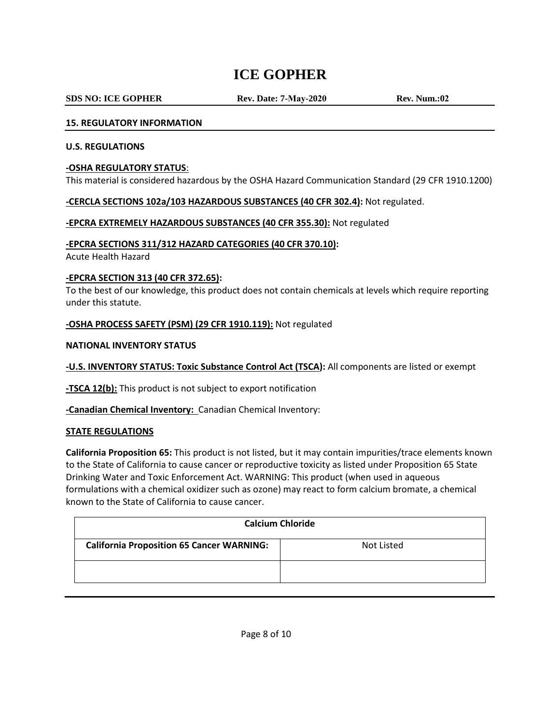#### **SDS NO: ICE GOPHER**

**Rev. Date: 7-May-2020 Rev. Num.:02**

#### **15. REGULATORY INFORMATION**

#### **U.S. REGULATIONS**

#### **-OSHA REGULATORY STATUS**:

This material is considered hazardous by the OSHA Hazard Communication Standard (29 CFR 1910.1200)

#### **-CERCLA SECTIONS 102a/103 HAZARDOUS SUBSTANCES (40 CFR 302.4):** Not regulated.

#### **-EPCRA EXTREMELY HAZARDOUS SUBSTANCES (40 CFR 355.30):** Not regulated

#### **-EPCRA SECTIONS 311/312 HAZARD CATEGORIES (40 CFR 370.10):**

Acute Health Hazard

#### **-EPCRA SECTION 313 (40 CFR 372.65):**

To the best of our knowledge, this product does not contain chemicals at levels which require reporting under this statute.

#### **-OSHA PROCESS SAFETY (PSM) (29 CFR 1910.119):** Not regulated

#### **NATIONAL INVENTORY STATUS**

**-U.S. INVENTORY STATUS: Toxic Substance Control Act (TSCA):** All components are listed or exempt

**-TSCA 12(b):** This product is not subject to export notification

**-Canadian Chemical Inventory:** Canadian Chemical Inventory:

#### **STATE REGULATIONS**

**California Proposition 65:** This product is not listed, but it may contain impurities/trace elements known to the State of California to cause cancer or reproductive toxicity as listed under Proposition 65 State Drinking Water and Toxic Enforcement Act. WARNING: This product (when used in aqueous formulations with a chemical oxidizer such as ozone) may react to form calcium bromate, a chemical known to the State of California to cause cancer.

| <b>Calcium Chloride</b>                                        |  |  |  |  |
|----------------------------------------------------------------|--|--|--|--|
| <b>California Proposition 65 Cancer WARNING:</b><br>Not Listed |  |  |  |  |
|                                                                |  |  |  |  |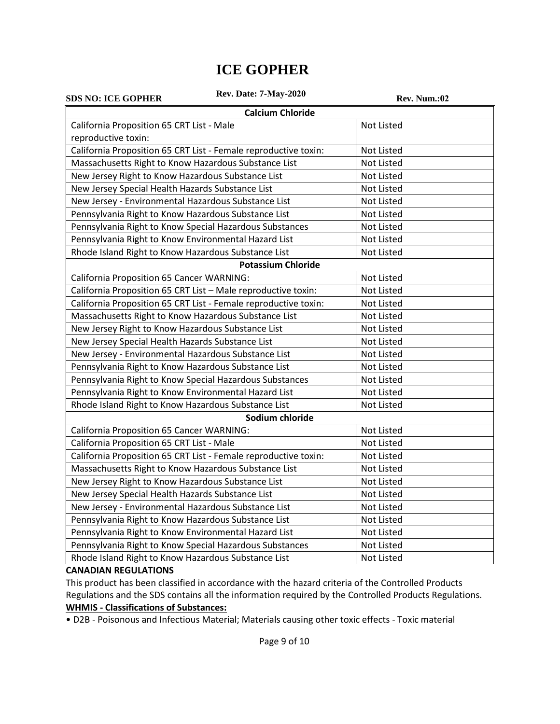| <b>Rev. Date: 7-May-2020</b><br><b>SDS NO: ICE GOPHER</b>       | Rev. Num.:02      |  |  |  |  |
|-----------------------------------------------------------------|-------------------|--|--|--|--|
| <b>Calcium Chloride</b>                                         |                   |  |  |  |  |
| California Proposition 65 CRT List - Male                       | <b>Not Listed</b> |  |  |  |  |
| reproductive toxin:                                             |                   |  |  |  |  |
| California Proposition 65 CRT List - Female reproductive toxin: | Not Listed        |  |  |  |  |
| Massachusetts Right to Know Hazardous Substance List            | Not Listed        |  |  |  |  |
| New Jersey Right to Know Hazardous Substance List               | Not Listed        |  |  |  |  |
| New Jersey Special Health Hazards Substance List                | Not Listed        |  |  |  |  |
| New Jersey - Environmental Hazardous Substance List             | Not Listed        |  |  |  |  |
| Pennsylvania Right to Know Hazardous Substance List             | Not Listed        |  |  |  |  |
| Pennsylvania Right to Know Special Hazardous Substances         | Not Listed        |  |  |  |  |
| Pennsylvania Right to Know Environmental Hazard List            | Not Listed        |  |  |  |  |
| Rhode Island Right to Know Hazardous Substance List             | Not Listed        |  |  |  |  |
| <b>Potassium Chloride</b>                                       |                   |  |  |  |  |
| <b>California Proposition 65 Cancer WARNING:</b>                | Not Listed        |  |  |  |  |
| California Proposition 65 CRT List - Male reproductive toxin:   | Not Listed        |  |  |  |  |
| California Proposition 65 CRT List - Female reproductive toxin: | Not Listed        |  |  |  |  |
| Massachusetts Right to Know Hazardous Substance List            | Not Listed        |  |  |  |  |
| New Jersey Right to Know Hazardous Substance List               | Not Listed        |  |  |  |  |
| New Jersey Special Health Hazards Substance List                | Not Listed        |  |  |  |  |
| New Jersey - Environmental Hazardous Substance List             | Not Listed        |  |  |  |  |
| Pennsylvania Right to Know Hazardous Substance List             | Not Listed        |  |  |  |  |
| Pennsylvania Right to Know Special Hazardous Substances         | Not Listed        |  |  |  |  |
| Pennsylvania Right to Know Environmental Hazard List            | Not Listed        |  |  |  |  |
| Rhode Island Right to Know Hazardous Substance List             | Not Listed        |  |  |  |  |
| Sodium chloride                                                 |                   |  |  |  |  |
| California Proposition 65 Cancer WARNING:                       | Not Listed        |  |  |  |  |
| California Proposition 65 CRT List - Male                       | Not Listed        |  |  |  |  |
| California Proposition 65 CRT List - Female reproductive toxin: | Not Listed        |  |  |  |  |
| Massachusetts Right to Know Hazardous Substance List            | Not Listed        |  |  |  |  |
| New Jersey Right to Know Hazardous Substance List               | Not Listed        |  |  |  |  |
| New Jersey Special Health Hazards Substance List                | Not Listed        |  |  |  |  |
| New Jersey - Environmental Hazardous Substance List             | Not Listed        |  |  |  |  |
| Pennsylvania Right to Know Hazardous Substance List             | Not Listed        |  |  |  |  |
| Pennsylvania Right to Know Environmental Hazard List            | Not Listed        |  |  |  |  |
| Pennsylvania Right to Know Special Hazardous Substances         | Not Listed        |  |  |  |  |
| Rhode Island Right to Know Hazardous Substance List             | Not Listed        |  |  |  |  |

#### **CANADIAN REGULATIONS**

This product has been classified in accordance with the hazard criteria of the Controlled Products Regulations and the SDS contains all the information required by the Controlled Products Regulations. **WHMIS - Classifications of Substances:**

• D2B - Poisonous and Infectious Material; Materials causing other toxic effects - Toxic material